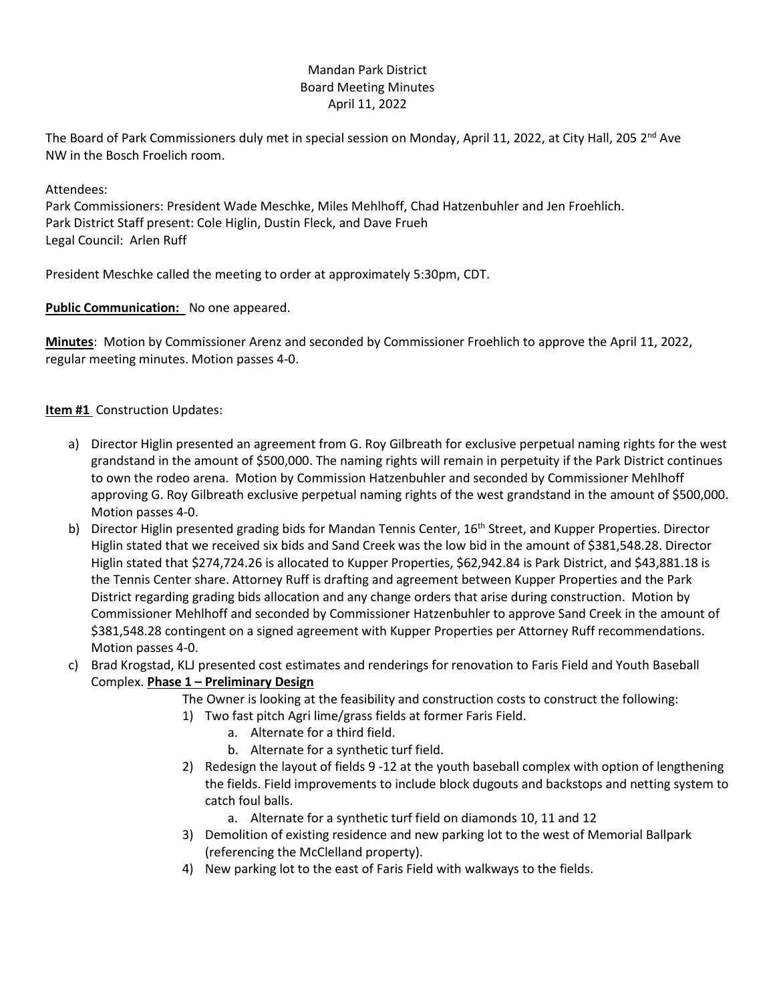#### Mandan Park District Board Meeting Minutes April 11, 2022

The Board of Park Commissioners duly met in special session on Monday, April 11, 2022, at City Hall, 205 2<sup>nd</sup> Ave NW in the Bosch Froelich room.

Attendees:

Park Commissioners: President Wade Meschke, Miles Mehlhoff, Chad Hatzenbuhler and Jen Froehlich. Park District Staff present: Cole Higlin, Dustin Fleck, and Dave Frueh Legal Council: Arlen Ruff

President Meschke called the meeting to order at approximately 5:30pm, CDT.

## **Public Communication:** No one appeared.

**Minutes**: Motion by Commissioner Arenz and seconded by Commissioner Froehlich to approve the April 11, 2022, regular meeting minutes. Motion passes 4-0.

## **Item #1** Construction Updates:

- a) Director Higlin presented an agreement from G. Roy Gilbreath for exclusive perpetual naming rights for the west grandstand in the amount of \$500,000. The naming rights will remain in perpetuity if the Park District continues to own the rodeo arena. Motion by Commission Hatzenbuhler and seconded by Commissioner Mehlhoff approving G. Roy Gilbreath exclusive perpetual naming rights of the west grandstand in the amount of \$500,000. Motion passes 4-0.
- b) Director Higlin presented grading bids for Mandan Tennis Center, 16<sup>th</sup> Street, and Kupper Properties. Director Higlin stated that we received six bids and Sand Creek was the low bid in the amount of \$381,548.28. Director Higlin stated that \$274,724.26 is allocated to Kupper Properties, \$62,942.84 is Park District, and \$43,881.18 is the Tennis Center share. Attorney Ruff is drafting and agreement between Kupper Properties and the Park District regarding grading bids allocation and any change orders that arise during construction. Motion by Commissioner Mehlhoff and seconded by Commissioner Hatzenbuhler to approve Sand Creek in the amount of \$381,548.28 contingent on a signed agreement with Kupper Properties per Attorney Ruff recommendations. Motion passes 4-0.
- c) Brad Krogstad, KLJ presented cost estimates and renderings for renovation to Faris Field and Youth Baseball Complex. **Phase 1 – Preliminary Design**
	- The Owner is looking at the feasibility and construction costs to construct the following:
	- 1) Two fast pitch Agri lime/grass fields at former Faris Field.
		- a. Alternate for a third field.
		- b. Alternate for a synthetic turf field.
	- 2) Redesign the layout of fields 9 -12 at the youth baseball complex with option of lengthening the fields. Field improvements to include block dugouts and backstops and netting system to catch foul balls.
		- a. Alternate for a synthetic turf field on diamonds 10, 11 and 12
	- 3) Demolition of existing residence and new parking lot to the west of Memorial Ballpark (referencing the McClelland property).
	- 4) New parking lot to the east of Faris Field with walkways to the fields.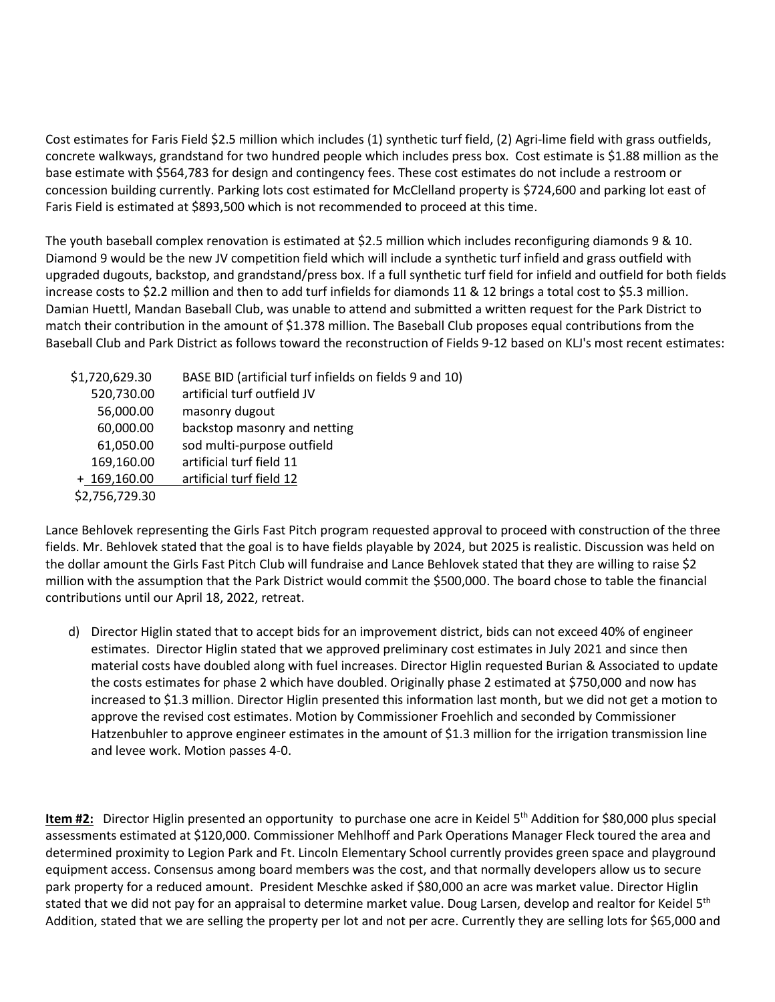Cost estimates for Faris Field \$2.5 million which includes (1) synthetic turf field, (2) Agri-lime field with grass outfields, concrete walkways, grandstand for two hundred people which includes press box. Cost estimate is \$1.88 million as the base estimate with \$564,783 for design and contingency fees. These cost estimates do not include a restroom or concession building currently. Parking lots cost estimated for McClelland property is \$724,600 and parking lot east of Faris Field is estimated at \$893,500 which is not recommended to proceed at this time.

The youth baseball complex renovation is estimated at \$2.5 million which includes reconfiguring diamonds 9 & 10. Diamond 9 would be the new JV competition field which will include a synthetic turf infield and grass outfield with upgraded dugouts, backstop, and grandstand/press box. If a full synthetic turf field for infield and outfield for both fields increase costs to \$2.2 million and then to add turf infields for diamonds 11 & 12 brings a total cost to \$5.3 million. Damian Huettl, Mandan Baseball Club, was unable to attend and submitted a written request for the Park District to match their contribution in the amount of \$1.378 million. The Baseball Club proposes equal contributions from the Baseball Club and Park District as follows toward the reconstruction of Fields 9-12 based on KLJ's most recent estimates:

| \$1,720,629.30 | BASE BID (artificial turf infields on fields 9 and 10) |
|----------------|--------------------------------------------------------|
| 520,730.00     | artificial turf outfield JV                            |
| 56,000.00      | masonry dugout                                         |
| 60,000.00      | backstop masonry and netting                           |
| 61,050.00      | sod multi-purpose outfield                             |
| 169,160.00     | artificial turf field 11                               |
| $+ 169,160.00$ | artificial turf field 12                               |
| \$2,756,729.30 |                                                        |

Lance Behlovek representing the Girls Fast Pitch program requested approval to proceed with construction of the three fields. Mr. Behlovek stated that the goal is to have fields playable by 2024, but 2025 is realistic. Discussion was held on the dollar amount the Girls Fast Pitch Club will fundraise and Lance Behlovek stated that they are willing to raise \$2 million with the assumption that the Park District would commit the \$500,000. The board chose to table the financial contributions until our April 18, 2022, retreat.

d) Director Higlin stated that to accept bids for an improvement district, bids can not exceed 40% of engineer estimates. Director Higlin stated that we approved preliminary cost estimates in July 2021 and since then material costs have doubled along with fuel increases. Director Higlin requested Burian & Associated to update the costs estimates for phase 2 which have doubled. Originally phase 2 estimated at \$750,000 and now has increased to \$1.3 million. Director Higlin presented this information last month, but we did not get a motion to approve the revised cost estimates. Motion by Commissioner Froehlich and seconded by Commissioner Hatzenbuhler to approve engineer estimates in the amount of \$1.3 million for the irrigation transmission line and levee work. Motion passes 4-0.

Item #2: Director Higlin presented an opportunity to purchase one acre in Keidel 5<sup>th</sup> Addition for \$80,000 plus special assessments estimated at \$120,000. Commissioner Mehlhoff and Park Operations Manager Fleck toured the area and determined proximity to Legion Park and Ft. Lincoln Elementary School currently provides green space and playground equipment access. Consensus among board members was the cost, and that normally developers allow us to secure park property for a reduced amount. President Meschke asked if \$80,000 an acre was market value. Director Higlin stated that we did not pay for an appraisal to determine market value. Doug Larsen, develop and realtor for Keidel 5<sup>th</sup> Addition, stated that we are selling the property per lot and not per acre. Currently they are selling lots for \$65,000 and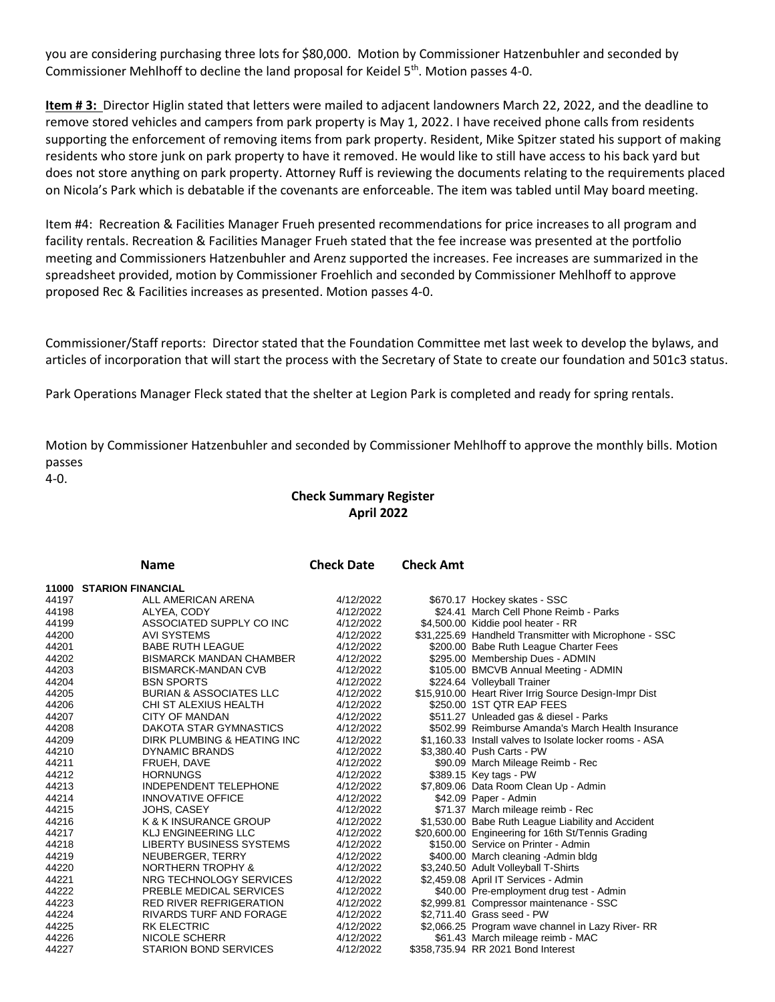you are considering purchasing three lots for \$80,000. Motion by Commissioner Hatzenbuhler and seconded by Commissioner Mehlhoff to decline the land proposal for Keidel 5<sup>th</sup>. Motion passes 4-0.

**Item # 3:** Director Higlin stated that letters were mailed to adjacent landowners March 22, 2022, and the deadline to remove stored vehicles and campers from park property is May 1, 2022. I have received phone calls from residents supporting the enforcement of removing items from park property. Resident, Mike Spitzer stated his support of making residents who store junk on park property to have it removed. He would like to still have access to his back yard but does not store anything on park property. Attorney Ruff is reviewing the documents relating to the requirements placed on Nicola's Park which is debatable if the covenants are enforceable. The item was tabled until May board meeting.

Item #4: Recreation & Facilities Manager Frueh presented recommendations for price increases to all program and facility rentals. Recreation & Facilities Manager Frueh stated that the fee increase was presented at the portfolio meeting and Commissioners Hatzenbuhler and Arenz supported the increases. Fee increases are summarized in the spreadsheet provided, motion by Commissioner Froehlich and seconded by Commissioner Mehlhoff to approve proposed Rec & Facilities increases as presented. Motion passes 4-0.

Commissioner/Staff reports: Director stated that the Foundation Committee met last week to develop the bylaws, and articles of incorporation that will start the process with the Secretary of State to create our foundation and 501c3 status.

Park Operations Manager Fleck stated that the shelter at Legion Park is completed and ready for spring rentals.

Motion by Commissioner Hatzenbuhler and seconded by Commissioner Mehlhoff to approve the monthly bills. Motion passes

4-0.

#### **Check Summary Register April 2022**

|       | <b>Name</b>                        | <b>Check Date</b> | <b>Check Amt</b> |                                                         |
|-------|------------------------------------|-------------------|------------------|---------------------------------------------------------|
|       | <b>11000 STARION FINANCIAL</b>     |                   |                  |                                                         |
| 44197 | ALL AMERICAN ARENA                 | 4/12/2022         |                  | \$670.17 Hockey skates - SSC                            |
| 44198 | ALYEA, CODY                        | 4/12/2022         |                  | \$24.41 March Cell Phone Reimb - Parks                  |
| 44199 | ASSOCIATED SUPPLY CO INC           | 4/12/2022         |                  | \$4,500.00 Kiddie pool heater - RR                      |
| 44200 | <b>AVI SYSTEMS</b>                 | 4/12/2022         |                  | \$31,225.69 Handheld Transmitter with Microphone - SSC  |
| 44201 | <b>BABE RUTH LEAGUE</b>            | 4/12/2022         |                  | \$200.00 Babe Ruth League Charter Fees                  |
| 44202 | <b>BISMARCK MANDAN CHAMBER</b>     | 4/12/2022         |                  | \$295.00 Membership Dues - ADMIN                        |
| 44203 | <b>BISMARCK-MANDAN CVB</b>         | 4/12/2022         |                  | \$105.00 BMCVB Annual Meeting - ADMIN                   |
| 44204 | <b>BSN SPORTS</b>                  | 4/12/2022         |                  | \$224.64 Volleyball Trainer                             |
| 44205 | <b>BURIAN &amp; ASSOCIATES LLC</b> | 4/12/2022         |                  | \$15,910.00 Heart River Irrig Source Design-Impr Dist   |
| 44206 | CHI ST ALEXIUS HEALTH              | 4/12/2022         |                  | \$250.00 1ST QTR EAP FEES                               |
| 44207 | <b>CITY OF MANDAN</b>              | 4/12/2022         |                  | \$511.27 Unleaded gas & diesel - Parks                  |
| 44208 | DAKOTA STAR GYMNASTICS             | 4/12/2022         |                  | \$502.99 Reimburse Amanda's March Health Insurance      |
| 44209 | DIRK PLUMBING & HEATING INC        | 4/12/2022         |                  | \$1,160.33 Install valves to Isolate locker rooms - ASA |
| 44210 | DYNAMIC BRANDS                     | 4/12/2022         |                  | \$3,380.40 Push Carts - PW                              |
| 44211 | FRUEH, DAVE                        | 4/12/2022         |                  | \$90.09 March Mileage Reimb - Rec                       |
| 44212 | <b>HORNUNGS</b>                    | 4/12/2022         |                  | \$389.15 Key tags - PW                                  |
| 44213 | <b>INDEPENDENT TELEPHONE</b>       | 4/12/2022         |                  | \$7,809.06 Data Room Clean Up - Admin                   |
| 44214 | <b>INNOVATIVE OFFICE</b>           | 4/12/2022         |                  | \$42.09 Paper - Admin                                   |
| 44215 | JOHS, CASEY                        | 4/12/2022         |                  | \$71.37 March mileage reimb - Rec                       |
| 44216 | K & K INSURANCE GROUP              | 4/12/2022         |                  | \$1,530.00 Babe Ruth League Liability and Accident      |
| 44217 | <b>KLJ ENGINEERING LLC</b>         | 4/12/2022         |                  | \$20,600.00 Engineering for 16th St/Tennis Grading      |
| 44218 | LIBERTY BUSINESS SYSTEMS           | 4/12/2022         |                  | \$150.00 Service on Printer - Admin                     |
| 44219 | NEUBERGER, TERRY                   | 4/12/2022         |                  | \$400.00 March cleaning -Admin bldg                     |
| 44220 | <b>NORTHERN TROPHY &amp;</b>       | 4/12/2022         |                  | \$3,240.50 Adult Volleyball T-Shirts                    |
| 44221 | NRG TECHNOLOGY SERVICES            | 4/12/2022         |                  | \$2,459.08 April IT Services - Admin                    |
| 44222 | PREBLE MEDICAL SERVICES            | 4/12/2022         |                  | \$40.00 Pre-employment drug test - Admin                |
| 44223 | <b>RED RIVER REFRIGERATION</b>     | 4/12/2022         |                  | \$2,999.81 Compressor maintenance - SSC                 |
| 44224 | RIVARDS TURF AND FORAGE            | 4/12/2022         |                  | \$2,711.40 Grass seed - PW                              |
| 44225 | <b>RK ELECTRIC</b>                 | 4/12/2022         |                  | \$2,066.25 Program wave channel in Lazy River-RR        |
| 44226 | NICOLE SCHERR                      | 4/12/2022         |                  | \$61.43 March mileage reimb - MAC                       |
| 44227 | <b>STARION BOND SERVICES</b>       | 4/12/2022         |                  | \$358,735.94 RR 2021 Bond Interest                      |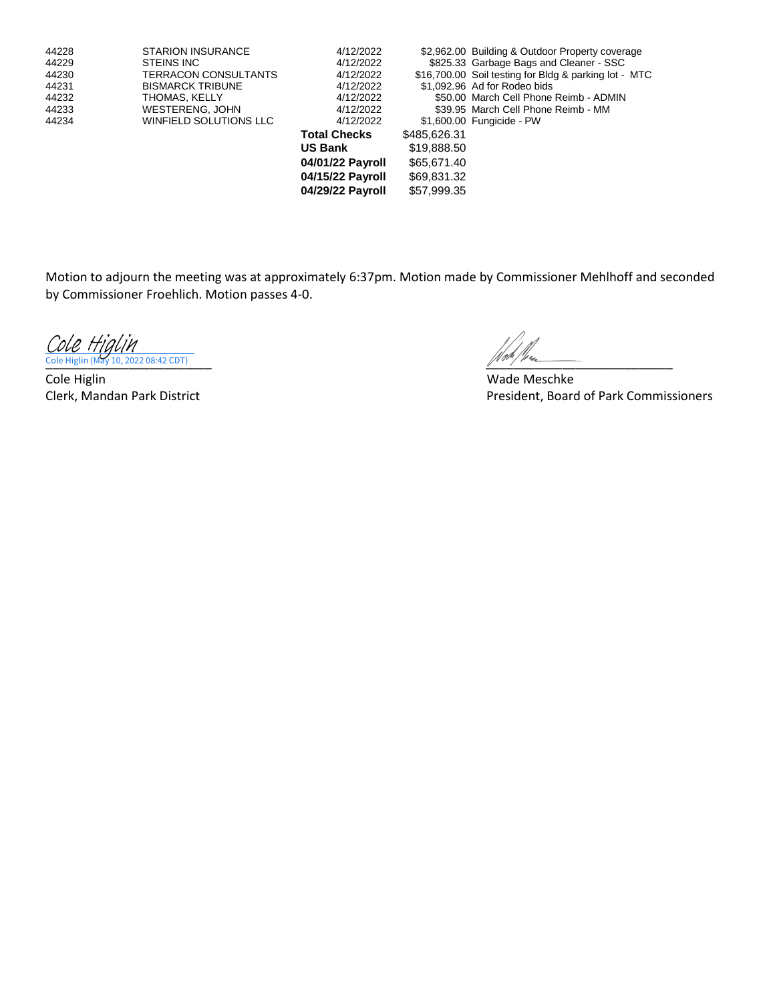| 44228 | <b>STARION INSURANCE</b> | 4/12/2022           |              | \$2,962.00 Building & Outdoor Property coverage       |
|-------|--------------------------|---------------------|--------------|-------------------------------------------------------|
| 44229 | STEINS INC               | 4/12/2022           |              | \$825.33 Garbage Bags and Cleaner - SSC               |
| 44230 | TERRACON CONSULTANTS     | 4/12/2022           |              | \$16,700.00 Soil testing for Bldg & parking lot - MTC |
| 44231 | <b>BISMARCK TRIBUNE</b>  | 4/12/2022           |              | \$1,092.96 Ad for Rodeo bids                          |
| 44232 | <b>THOMAS, KELLY</b>     | 4/12/2022           |              | \$50.00 March Cell Phone Reimb - ADMIN                |
| 44233 | <b>WESTERENG, JOHN</b>   | 4/12/2022           |              | \$39.95 March Cell Phone Reimb - MM                   |
| 44234 | WINFIELD SOLUTIONS LLC   | 4/12/2022           |              | \$1,600.00 Fungicide - PW                             |
|       |                          | <b>Total Checks</b> | \$485,626.31 |                                                       |
|       |                          | <b>US Bank</b>      | \$19,888.50  |                                                       |
|       |                          | 04/01/22 Payroll    | \$65,671.40  |                                                       |
|       |                          | 04/15/22 Payroll    | \$69,831.32  |                                                       |
|       |                          | 04/29/22 Payroll    | \$57,999.35  |                                                       |

Motion to adjourn the meeting was at approximately 6:37pm. Motion made by Commissioner Mehlhoff and seconded by Commissioner Froehlich. Motion passes 4-0.

Cole Higlin Wade Meschke

 $\frac{Cole~High}{M\phi\phi/\hbar}$ 

Clerk, Mandan Park District **President, Board of Park Commissioners** President, Board of Park Commissioners